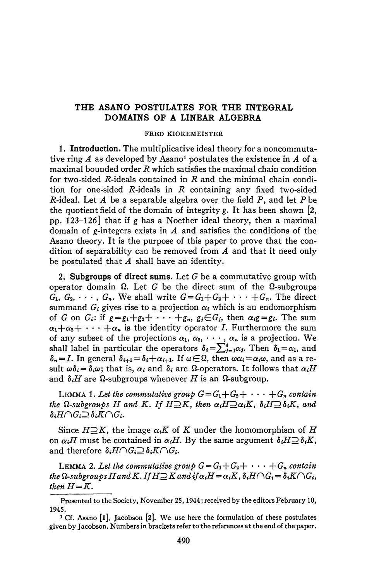## **THE ASANO POSTULATES FOR THE INTEGRAL DOMAINS OF A LINEAR ALGEBRA**

## **FRED KIOKEMEISTER**

1. **Introduction.** The multiplicative ideal theory for a noncommutative ring  $A$  as developed by Asano<sup>1</sup> postulates the existence in  $A$  of a maximal bounded order *R* which satisfies the maximal chain condition for two-sided R-ideals contained in R and the minimal chain condition for one-sided  $R$ -ideals in  $R$  containing any fixed two-sided *R*-ideal. Let *A* be a separable algebra over the field  $P$ , and let  $P$  be the quotient field of the domain of integrity *g.* It has been shown [2, pp. 123-126] that if *g* has a Noether ideal theory, then a maximal domain of  $g$ -integers exists in  $A$  and satisfies the conditions of the Asano theory. It is the purpose of this paper to prove that the condition of separability can be removed from *A* and that it need only be postulated that *A* shall have an identity.

2. Subgroups of direct sums. Let  $G$  be a commutative group with operator domain  $\Omega$ . Let G be the direct sum of the  $\Omega$ -subgroups  $G_1, G_2, \cdots, G_n$ . We shall write  $G = G_1 + G_2 + \cdots + G_n$ . The direct summand  $G_i$  gives rise to a projection  $\alpha_i$  which is an endomorphism of *G* on *G<sub>i</sub>*: if  $g = g_1 + g_2 + \cdots + g_n$ ,  $g_j \in G_j$ , then  $\alpha_i g = g_i$ . The sum  $\alpha_1+\alpha_2+\cdots+\alpha_n$  is the identity operator I. Furthermore the sum of any subset of the projections  $\alpha_1, \alpha_2, \cdots, \alpha_n$  is a projection. We shall label in particular the operators  $\delta_i = \sum_{i=1}^i \alpha_i$ . Then  $\delta_1 = \alpha_1$ , and  $\delta_n = I$ . In general  $\delta_{i+1} = \delta_i + \alpha_{i+1}$ . If  $\omega \in \Omega$ , then  $\omega \alpha_i = \alpha_i \omega$ , and as a result  $\omega \delta_i = \delta_i \omega$ ; that is,  $\alpha_i$  and  $\delta_i$  are  $\Omega$ -operators. It follows that  $\alpha_i H$ and  $\delta_i H$  are  $\Omega$ -subgroups whenever *H* is an  $\Omega$ -subgroup.

LEMMA 1. Let the commutative group  $G = G_1 + G_2 + \cdots + G_n$  contain *the Q-subgroups H and K. If H* $\supseteq$ *K, then*  $\alpha_iH\supseteq \alpha_iK$ *,*  $\delta_iH\supseteq \delta_iK$ *, and*  $\delta_i H \cap G_i \supseteq \delta_i K \cap G_i$ .

Since  $H\supseteq K$ , the image  $\alpha_i K$  of K under the homomorphism of H on  $\alpha_i$ *H* must be contained in  $\alpha_i$ *H*. By the same argument  $\delta_i$ *H* $\supseteq$   $\delta_i$ *K*, and therefore  $\delta_i H \cap G_i \supseteq \delta_i K \cap G_i$ .

LEMMA 2. Let the commutative group  $G = G_1 + G_2 + \cdots + G_n$  contain *the*  $\Omega$ -subgroups H and K. If  $H\supseteq K$  and if  $\alpha_iH=\alpha_iK$ ,  $\delta_iH\cap G_i = \delta_iK\cap G_i$ , *then*  $H = K$ .

Presented to the Society, November 25,1944; received by the editors February 10, 1945.

<sup>&</sup>lt;sup>1</sup> Cf. Asano [1], Jacobson [2]. We use here the formulation of these postulates given by Jacobson. Numbers in brackets refer to the references at the end of the paper.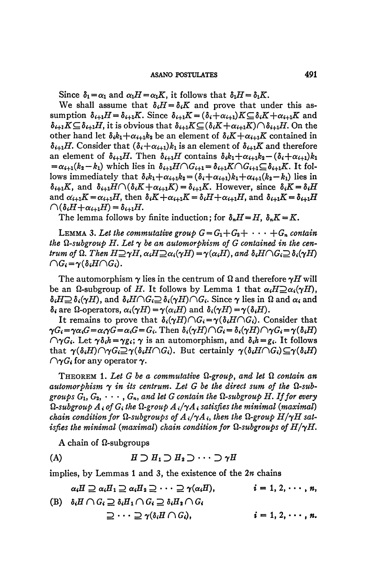Since  $\delta_1 = \alpha_1$  and  $\alpha_1 H = \alpha_1 K$ , it follows that  $\delta_1 H = \delta_1 K$ .

We shall assume that  $\delta_i H = \delta_i K$  and prove that under this assumption  $\delta_{i+1}H = \delta_{i+1}K$ . Since  $\delta_{i+1}K = (\delta_i + \alpha_{i+1})K \subseteq \delta_iK + \alpha_{i+1}K$  and  $\delta_{i+1}K \subseteq \delta_{i+1}H$ , it is obvious that  $\delta_{i+1}K \subseteq (\delta_iK + \alpha_{i+1}K) \cap \delta_{i+1}H$ . On the other hand let  $\delta_i k_1 + \alpha_{i+1} k_2$  be an element of  $\delta_i K + \alpha_{i+1} K$  contained in  $\delta_{i+1}H$ . Consider that  $(\delta_i+\alpha_{i+1})k_1$  is an element of  $\delta_{i+1}K$  and therefore an element of  $\delta_{i+1}H$ . Then  $\delta_{i+1}H$  contains  $\delta_i k_1 + \alpha_{i+1} k_2 - (\delta_i + \alpha_{i+1})k_1$  $=\alpha_{i+1}(k_2-k_1)$  which lies in  $\delta_{i+1}H\cap G_{i+1}=\delta_{i+1}K\cap G_{i+1}\subseteq \delta_{i+1}K$ . It follows immediately that  $\delta_i k_1 + \alpha_{i+1} k_2 = (\delta_i + \alpha_{i+1}) k_1 + \alpha_{i+1} (k_2 - k_1)$  lies in  $\delta_{i+1}K$ , and  $\delta_{i+1}H \cap (\delta_i K + \alpha_{i+1}K) = \delta_{i+1}K$ . However, since  $\delta_i K = \delta_i H$ and  $\alpha_{i+1}K = \alpha_{i+1}H$ , then  $\delta_iK + \alpha_{i+1}K = \delta_iH + \alpha_{i+1}H$ , and  $\delta_{i+1}K = \delta_{i+1}H$  $\bigcap (\delta_i H + \alpha_{i+1} H) = \delta_{i+1} H.$ 

The lemma follows by finite induction; for  $\delta_n H = H$ ,  $\delta_n K = K$ .

LEMMA 3. Let the commutative group  $G = G_1 + G_2 + \cdots + G_n$  contain the  $\Omega$ -subgroup H. Let  $\gamma$  be an automorphism of G contained in the centrum of  $\Omega$ . Then  $H \supseteq \gamma H$ ,  $\alpha_i H \supseteq \alpha_i (\gamma H) = \gamma(\alpha_i H)$ , and  $\delta_i H \cap G_i \supseteq \delta_i(\gamma H)$  $\bigcap G_i = \gamma(\delta_i H \bigcap G_i).$ 

The automorphism  $\gamma$  lies in the centrum of  $\Omega$  and therefore  $\gamma H$  will be an  $\Omega$ -subgroup of H. It follows by Lemma 1 that  $\alpha_i H \supseteq \alpha_i (\gamma H)$ ,  $\delta_i H \supseteq \delta_i(\gamma H)$ , and  $\delta_i H \cap G_i \supseteq \delta_i(\gamma H) \cap G_i$ . Since  $\gamma$  lies in  $\Omega$  and  $\alpha_i$  and  $\delta_i$  are  $\Omega$ -operators,  $\alpha_i(\gamma H) = \gamma(\alpha_i H)$  and  $\delta_i(\gamma H) = \gamma(\delta_i H)$ .

It remains to prove that  $\delta_i(\gamma H) \cap G_i = \gamma(\delta_i H \cap G_i)$ . Consider that  $\gamma G_i = \gamma \alpha_i G = \alpha_i \gamma G = \alpha_i G = G_i$ . Then  $\delta_i(\gamma H) \cap G_i = \delta_i(\gamma H) \cap \gamma G_i = \gamma(\delta_i H)$  $\bigcap \gamma G_i$ . Let  $\gamma \delta_i h = \gamma g_i$ ;  $\gamma$  is an automorphism, and  $\delta_i h = g_i$ . It follows that  $\gamma(\delta_i H) \cap \gamma G_i \supseteq \gamma(\delta_i H \cap G_i)$ . But certainly  $\gamma(\delta_i H \cap G_i) \subseteq \gamma(\delta_i H)$  $\bigcap$   $\gamma G_i$  for any operator  $\gamma$ .

**THEOREM 1. Let G be a commutative**  $\Omega$ **-group, and let**  $\Omega$  **contain an** automorphism  $\gamma$  in its centrum. Let G be the direct sum of the  $\Omega$ -subgroups  $G_1, G_2, \cdots, G_n$ , and let G contain the  $\Omega$ -subgroup H. If for every  $\Omega$ -subgroup  $A_i$  of  $G_i$  the  $\Omega$ -group  $A_i/\gamma A_i$  satisfies the minimal (maximal) chain condition for  $\Omega$ -subgroups of  $A_i/\gamma A_i$ , then the  $\Omega$ -group  $H/\gamma H$  satisfies the minimal (maximal) chain condition for  $\Omega$ -subgroups of  $H/\gamma H$ .

A chain of  $\Omega$ -subgroups

(A) 
$$
H \supset H_1 \supset H_2 \supset \cdots \supset \gamma H
$$

implies, by Lemmas 1 and 3, the existence of the  $2n$  chains

$$
\alpha_i H \supseteq \alpha_i H_1 \supseteq \alpha_i H_2 \supseteq \cdots \supseteq \gamma(\alpha_i H), \qquad i = 1, 2, \cdots, n,
$$
  
(B) 
$$
\delta_i H \cap G_i \supseteq \delta_i H_1 \cap G_i \supseteq \delta_i H_2 \cap G_i
$$

$$
\supseteq \cdots \supseteq \gamma(\delta_i H \cap G_i), \qquad i = 1, 2, \cdots, n.
$$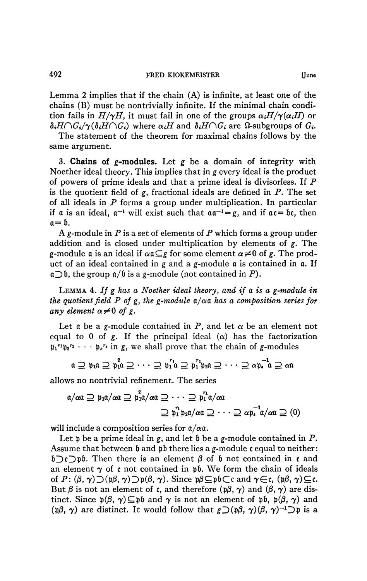492 **FRED KIOKEMEISTER [June** 

Lemma 2 implies that if the chain (A) is infinite, at least one of the chains (B) must be nontrivially infinite. If the minimal chain condition fails in  $H/\gamma H$ , it must fail in one of the groups  $\alpha_i H/\gamma(\alpha_i H)$  or  $\delta_i H \cap G_i / \gamma(\delta_i H \cap G_i)$  where  $\alpha_i H$  and  $\delta_i H \cap G_i$  are  $\Omega$ -subgroups of  $G_i$ .

The statement of the theorem for maximal chains follows by the same argument.

3. **Chains of g-modules.** Let *g* be a domain of integrity with Noether ideal theory. This implies that in *g* every ideal is the product of powers of prime ideals and that a prime ideal is divisorless. If P is the quotient field of  $g$ , fractional ideals are defined in  $P$ . The set of all ideals in *P* forms a group under multiplication. In particular if a is an ideal,  $a^{-1}$  will exist such that  $aa^{-1}=g$ , and if  $ac=bc$ , then  $a = b$ .

A g-module in *P* is a set of elements of *P* which forms a group under addition and is closed under multiplication by elements of g. The g-module  $\alpha$  is an ideal if  $\alpha \alpha \subseteq g$  for some element  $\alpha \neq 0$  of g. The product of an ideal contained in g and a g-module *a* is contained in a. If  $\mathfrak{a}\supset \mathfrak{b}$ , the group  $\mathfrak{a}/\mathfrak{b}$  is a g-module (not contained in P).

LEMMA 4. *If g has a Noether ideal theory, and if a is a g-module in the quotient field P of g, the g-module*  $a/\alpha a$  *has a composition series for any element*  $\alpha \neq 0$  *of* g.

Let  $\alpha$  be a g-module contained in P, and let  $\alpha$  be an element not equal to 0 of g. If the principal ideal  $(\alpha)$  has the factorization  $p_1^{r_1}p_2^{r_2} \cdots p_s^{r_s}$  in g, we shall prove that the chain of g-modules

$$
\alpha \supseteq \mathfrak{p}_1 \alpha \supseteq \mathfrak{p}_1^2 \alpha \supseteq \cdots \supseteq \mathfrak{p}_1^{r_1} \alpha \supseteq \mathfrak{p}_1^{r_1} \mathfrak{p}_2 \alpha \supseteq \cdots \supseteq \alpha \mathfrak{p}_e^{-1} \alpha \supseteq \alpha \alpha
$$

allows no nontrivial refinement. The series

$$
\begin{aligned}\n\mathfrak{a}/\alpha\mathfrak{a} &\supseteq \mathfrak{p}_1\mathfrak{a}/\alpha\mathfrak{a} \supseteq \mathfrak{p}_1^2\mathfrak{a}/\alpha\mathfrak{a} \supseteq \cdots \supseteq \mathfrak{p}_1^r\mathfrak{a}/\alpha\mathfrak{a} \\
&\supseteq \mathfrak{p}_1^r\mathfrak{p}_2\mathfrak{a}/\alpha\mathfrak{a} \supseteq \cdots \supseteq \alpha\mathfrak{p}_s^{-1}\mathfrak{a}/\alpha\mathfrak{a} \supseteq (0)\n\end{aligned}
$$

will include a composition series for  $a/\alpha a$ .

Let  $\mathfrak p$  be a prime ideal in g, and let  $\mathfrak b$  be a g-module contained in  $P$ . Assume that between  $\mathfrak b$  and  $\mathfrak p\mathfrak b$  there lies a g-module c equal to neither:  $\mathfrak{b}\supset$ c $\supset$ pb. Then there is an element  $\beta$  of b not contained in c and an element  $\gamma$  of c not contained in pb. We form the chain of ideals of  $P: (\beta, \gamma) \supset (\mathfrak{p}\beta, \gamma) \supset \mathfrak{p}(\beta, \gamma)$ . Since  $\mathfrak{p}\beta \subseteq \mathfrak{p}\mathfrak{b} \subset \mathfrak{c}$  and  $\gamma \in \mathfrak{c}$ ,  $(\mathfrak{p}\beta, \gamma) \subseteq \mathfrak{c}$ . But  $\beta$  is not an element of c, and therefore ( $p\beta$ ,  $\gamma$ ) and ( $\beta$ ,  $\gamma$ ) are distinct. Since  $p(\beta, \gamma) \subseteq p\mathfrak{b}$  and  $\gamma$  is not an element of pb,  $p(\beta, \gamma)$  and (p $\beta$ ,  $\gamma$ ) are distinct. It would follow that  $g\supset (p\beta, \gamma)(\beta, \gamma)^{-1}$  p is a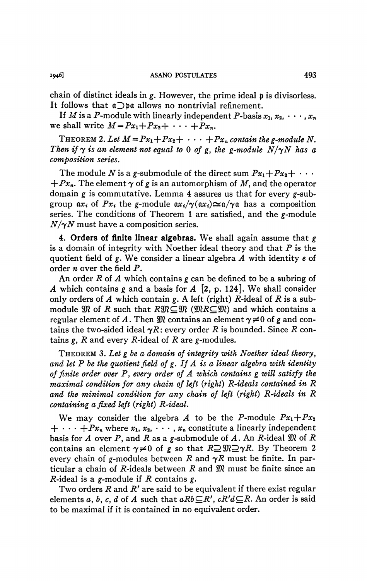chain of distinct ideals in g. However, the prime ideal p is divisorless. It follows that  $a$   $\Box$   $b$  allows no nontrivial refinement.

If *M* is a *P*-module with linearly independent *P*-basis  $x_1, x_2, \cdots, x_n$ we shall write  $M = Px_1+Px_2+\cdots+Px_n$ .

THEOREM 2. Let  $M = Px_1+Px_2+\cdots+Px_n$  contain the g-module N. *Then if*  $\gamma$  *is an element not equal to* 0 *of* g, the g-module  $N/\gamma N$  has a *composition series.* 

The module *N* is a g-submodule of the direct sum  $Px_1 + Px_2 + \cdots$  $+Px_n$ . The element  $\gamma$  of g is an automorphism of M, and the operator domain *g* is commutative. Lemma 4 assures us that for every *g*-subgroup  $ax_i$  of  $Px_i$  the g-module  $ax_i/\gamma(ax_i)\leq \alpha/\gamma\alpha$  has a composition series. The conditions of Theorem 1 are satisfied, and the  $g$ -module *N/yN* must have a composition series.

4. Orders of finite linear algebras. We shall again assume that *g*  is a domain of integrity with Noether ideal theory and that  $P$  is the quotient field of g. We consider a linear algebra *A* with identity *e* of order *n* over the field P.

An order *R* of *A* which contains *g* can be defined to be a subring of *A* which contains *g* and a basis for *A* [2, p. 124]. We shall consider only orders of  $A$  which contain  $g$ . A left (right)  $R$ -ideal of  $R$  is a submodule  $\mathfrak{M}$  of *R* such that  $R \mathfrak{M} \subseteq \mathfrak{M}$  ( $\mathfrak{M} R \subseteq \mathfrak{M}$ ) and which contains a regular element of A. Then  $\mathfrak{M}$  contains an element  $\gamma \neq 0$  of g and contains the two-sided ideal  $\gamma R$ : every order R is bounded. Since R contains  $g$ ,  $R$  and every  $R$ -ideal of  $R$  are  $g$ -modules.

THEOREM 3. *Let g be a domain of integrity with Noether ideal theory*, *and let P be the quotient field of g. If A is a linear algebra with identity of finite order over* P, *every order of A which contains g will satisfy the maximal condition for any chain of left {right) R-ideals contained in R and the minimal condition for any chain of left (right) R-ideals in R containing a fixed left (right) R-ideal.* 

We may consider the algebra A to be the P-module  $Px_1+Px_2$  $+ \cdot \cdot \cdot + Px_n$  where  $x_1, x_2, \cdot \cdot \cdot, x_n$  constitute a linearly independent basis for A over P, and R as a g-submodule of A. An R-ideal  $\mathfrak{M}$  of R contains an element  $\gamma \neq 0$  of g so that  $R \supseteq \mathfrak{M} \supseteq \gamma R$ . By Theorem 2 every chain of g-modules between R and  $\gamma R$  must be finite. In particular a chain of R-ideals between R and  $\mathfrak{M}$  must be finite since an P-ideal is a g-module if *R* contains g.

Two orders *R* and *R'* are said to be equivalent if there exist regular elements a, b, c, d of A such that  $aRb\subseteq R'$ ,  $cR'd\subseteq R$ . An order is said to be maximal if it is contained in no equivalent order.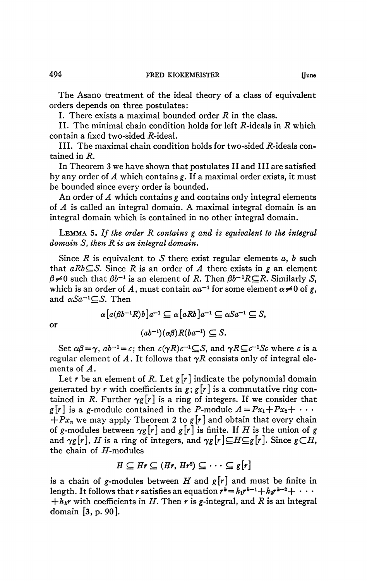The Asano treatment of the ideal theory of a class of equivalent orders depends on three postulates ;

I. There exists a maximal bounded order *R* in the class.

II. The minimal chain condition holds for left R-ideals in R which contain a fixed two-sided  $R$ -ideal.

III. The maximal chain condition holds for two-sided  $R$ -ideals contained in *R.* 

In Theorem 3 we have shown that postulates II and III are satisfied by any order of *A* which contains *g.* If a maximal order exists, it must be bounded since every order is bounded.

An order of *A* which contains *g* and contains only integral elements of *A* is called an integral domain. A maximal integral domain is an integral domain which is contained in no other integral domain.

LEMMA 5. *If the order R contains g and is equivalent to the integral domain* 5, *then R is an integral domain.* 

Since *R* is equivalent to *S* there exist regular elements *a, b* such that  $aRb \subseteq S$ . Since *R* is an order of *A* there exists in *g* an element  $\beta \neq 0$  such that  $\beta b^{-1}$  is an element of *R*. Then  $\beta b^{-1}R\subseteq R$ . Similarly *S*, which is an order of A, must contain  $\alpha a^{-1}$  for some element  $\alpha \neq 0$  of g, and  $\alpha S a^{-1} \subseteq S$ . Then

$$
\alpha[a(\beta b^{-1}R)b]a^{-1} \subseteq \alpha[aRb]a^{-1} \subseteq \alpha Sa^{-1} \subseteq S,
$$

or

$$
(ab^{-1})(\alpha\beta)R(ba^{-1})\subseteq S.
$$

Set  $\alpha\beta = \gamma$ ,  $ab^{-1} = c$ ; then  $c(\gamma R)c^{-1} \subseteq S$ , and  $\gamma R \subseteq c^{-1}Sc$  where *c* is a regular element of A. It follows that  $\gamma R$  consists only of integral elements of *A*.

Let r be an element of R. Let  $g[r]$  indicate the polynomial domain generated by *r* with coefficients in *g; g [r]* is a commutative ring contained in *R*. Further  $\gamma g[r]$  is a ring of integers. If we consider that  $g[r]$  is a g-module contained in the P-module  $A = Px_1 + Px_2 + \cdots$ *+Pxn* we may apply Theorem 2 to *g[r]* and obtain that every chain of g-modules between  $\gamma g[r]$  and  $g[r]$  is finite. If *H* is the union of g and  $\gamma g[r]$ , *H* is a ring of integers, and  $\gamma g[r] \subseteq H \subseteq g[r]$ . Since  $g \subset H$ , the chain of  $H$ -modules

$$
H\subseteq Hr\subseteq (Hr,\,Hr^2)\subseteq \cdots\subseteq g[r]
$$

is a chain of g-modules between *H* and  $g[r]$  and must be finite in length. It follows that *r* satisfies an equation  $r^k = h_1 r^{k-1} + h_2 r^{k-2} + \cdots$  $+h_kr$  with coefficients in *H*. Then *r* is *g*-integral, and *R* is an integral domain [3, p. 90].